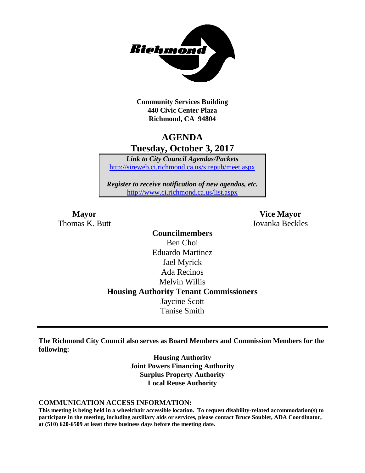

**Community Services Building 440 Civic Center Plaza Richmond, CA 94804**

# **AGENDA Tuesday, October 3, 2017**

*Link to City Council Agendas/Packets* <http://sireweb.ci.richmond.ca.us/sirepub/meet.aspx>

*Register to receive notification of new agendas, etc.* <http://www.ci.richmond.ca.us/list.aspx>

Thomas K. Butt Jovanka Beckles

**Mayor Vice Mayor**

**Councilmembers** Ben Choi Eduardo Martinez Jael Myrick Ada Recinos Melvin Willis **Housing Authority Tenant Commissioners** Jaycine Scott Tanise Smith

**The Richmond City Council also serves as Board Members and Commission Members for the following:**

> **Housing Authority Joint Powers Financing Authority Surplus Property Authority Local Reuse Authority**

#### **COMMUNICATION ACCESS INFORMATION:**

**This meeting is being held in a wheelchair accessible location. To request disability-related accommodation(s) to participate in the meeting, including auxiliary aids or services, please contact Bruce Soublet, ADA Coordinator, at (510) 620-6509 at least three business days before the meeting date.**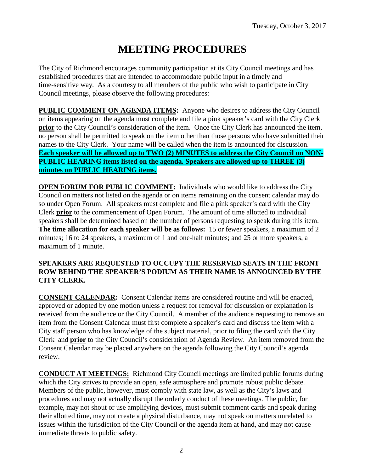# **MEETING PROCEDURES**

The City of Richmond encourages community participation at its City Council meetings and has established procedures that are intended to accommodate public input in a timely and time-sensitive way. As a courtesy to all members of the public who wish to participate in City Council meetings, please observe the following procedures:

**PUBLIC COMMENT ON AGENDA ITEMS:** Anyone who desires to address the City Council on items appearing on the agenda must complete and file a pink speaker's card with the City Clerk **prior** to the City Council's consideration of the item. Once the City Clerk has announced the item, no person shall be permitted to speak on the item other than those persons who have submitted their names to the City Clerk. Your name will be called when the item is announced for discussion. **Each speaker will be allowed up to TWO (2) MINUTES to address the City Council on NON-PUBLIC HEARING items listed on the agenda. Speakers are allowed up to THREE (3) minutes on PUBLIC HEARING items.**

**OPEN FORUM FOR PUBLIC COMMENT:** Individuals who would like to address the City Council on matters not listed on the agenda or on items remaining on the consent calendar may do so under Open Forum. All speakers must complete and file a pink speaker's card with the City Clerk **prior** to the commencement of Open Forum. The amount of time allotted to individual speakers shall be determined based on the number of persons requesting to speak during this item. **The time allocation for each speaker will be as follows:** 15 or fewer speakers, a maximum of 2 minutes; 16 to 24 speakers, a maximum of 1 and one-half minutes; and 25 or more speakers, a maximum of 1 minute.

### **SPEAKERS ARE REQUESTED TO OCCUPY THE RESERVED SEATS IN THE FRONT ROW BEHIND THE SPEAKER'S PODIUM AS THEIR NAME IS ANNOUNCED BY THE CITY CLERK.**

**CONSENT CALENDAR:** Consent Calendar items are considered routine and will be enacted, approved or adopted by one motion unless a request for removal for discussion or explanation is received from the audience or the City Council. A member of the audience requesting to remove an item from the Consent Calendar must first complete a speaker's card and discuss the item with a City staff person who has knowledge of the subject material, prior to filing the card with the City Clerk and **prior** to the City Council's consideration of Agenda Review. An item removed from the Consent Calendar may be placed anywhere on the agenda following the City Council's agenda review.

**CONDUCT AT MEETINGS:** Richmond City Council meetings are limited public forums during which the City strives to provide an open, safe atmosphere and promote robust public debate. Members of the public, however, must comply with state law, as well as the City's laws and procedures and may not actually disrupt the orderly conduct of these meetings. The public, for example, may not shout or use amplifying devices, must submit comment cards and speak during their allotted time, may not create a physical disturbance, may not speak on matters unrelated to issues within the jurisdiction of the City Council or the agenda item at hand, and may not cause immediate threats to public safety.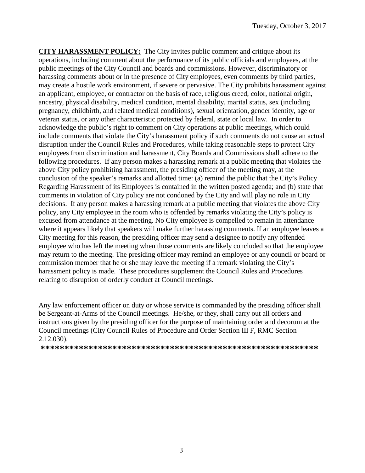**CITY HARASSMENT POLICY:** The City invites public comment and critique about its operations, including comment about the performance of its public officials and employees, at the public meetings of the City Council and boards and commissions. However, discriminatory or harassing comments about or in the presence of City employees, even comments by third parties, may create a hostile work environment, if severe or pervasive. The City prohibits harassment against an applicant, employee, or contractor on the basis of race, religious creed, color, national origin, ancestry, physical disability, medical condition, mental disability, marital status, sex (including pregnancy, childbirth, and related medical conditions), sexual orientation, gender identity, age or veteran status, or any other characteristic protected by federal, state or local law. In order to acknowledge the public's right to comment on City operations at public meetings, which could include comments that violate the City's harassment policy if such comments do not cause an actual disruption under the Council Rules and Procedures, while taking reasonable steps to protect City employees from discrimination and harassment, City Boards and Commissions shall adhere to the following procedures. If any person makes a harassing remark at a public meeting that violates the above City policy prohibiting harassment, the presiding officer of the meeting may, at the conclusion of the speaker's remarks and allotted time: (a) remind the public that the City's Policy Regarding Harassment of its Employees is contained in the written posted agenda; and (b) state that comments in violation of City policy are not condoned by the City and will play no role in City decisions. If any person makes a harassing remark at a public meeting that violates the above City policy, any City employee in the room who is offended by remarks violating the City's policy is excused from attendance at the meeting. No City employee is compelled to remain in attendance where it appears likely that speakers will make further harassing comments. If an employee leaves a City meeting for this reason, the presiding officer may send a designee to notify any offended employee who has left the meeting when those comments are likely concluded so that the employee may return to the meeting. The presiding officer may remind an employee or any council or board or commission member that he or she may leave the meeting if a remark violating the City's harassment policy is made. These procedures supplement the Council Rules and Procedures relating to disruption of orderly conduct at Council meetings.

Any law enforcement officer on duty or whose service is commanded by the presiding officer shall be Sergeant-at-Arms of the Council meetings. He/she, or they, shall carry out all orders and instructions given by the presiding officer for the purpose of maintaining order and decorum at the Council meetings (City Council Rules of Procedure and Order Section III F, RMC Section 2.12.030).

**\*\*\*\*\*\*\*\*\*\*\*\*\*\*\*\*\*\*\*\*\*\*\*\*\*\*\*\*\*\*\*\*\*\*\*\*\*\*\*\*\*\*\*\*\*\*\*\*\*\*\*\*\*\*\*\*\*\***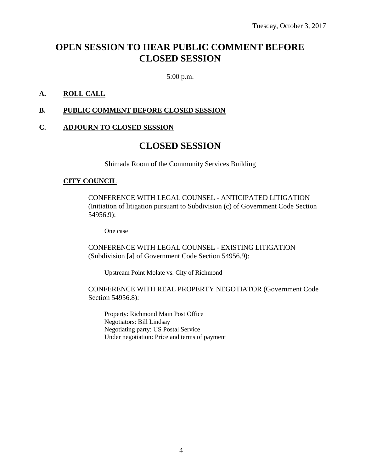# **OPEN SESSION TO HEAR PUBLIC COMMENT BEFORE CLOSED SESSION**

5:00 p.m.

### **A. ROLL CALL**

### **B. PUBLIC COMMENT BEFORE CLOSED SESSION**

#### **C. ADJOURN TO CLOSED SESSION**

# **CLOSED SESSION**

Shimada Room of the Community Services Building

#### **CITY COUNCIL**

CONFERENCE WITH LEGAL COUNSEL - ANTICIPATED LITIGATION (Initiation of litigation pursuant to Subdivision (c) of Government Code Section 54956.9):

One case

CONFERENCE WITH LEGAL COUNSEL - EXISTING LITIGATION (Subdivision [a] of Government Code Section 54956.9):

Upstream Point Molate vs. City of Richmond

CONFERENCE WITH REAL PROPERTY NEGOTIATOR (Government Code Section 54956.8):

Property: Richmond Main Post Office Negotiators: Bill Lindsay Negotiating party: US Postal Service Under negotiation: Price and terms of payment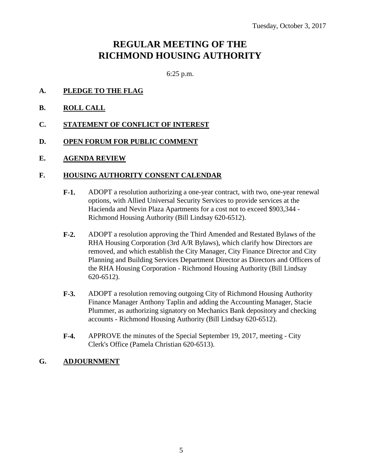# **REGULAR MEETING OF THE RICHMOND HOUSING AUTHORITY**

6:25 p.m.

- **A. PLEDGE TO THE FLAG**
- **B. ROLL CALL**
- **C. STATEMENT OF CONFLICT OF INTEREST**
- **D. OPEN FORUM FOR PUBLIC COMMENT**
- **E. AGENDA REVIEW**

#### **F. HOUSING AUTHORITY CONSENT CALENDAR**

- **F-1.** ADOPT a resolution authorizing a one-year contract, with two, one-year renewal options, with Allied Universal Security Services to provide services at the Hacienda and Nevin Plaza Apartments for a cost not to exceed \$903,344 - Richmond Housing Authority (Bill Lindsay 620-6512).
- **F-2.** ADOPT a resolution approving the Third Amended and Restated Bylaws of the RHA Housing Corporation (3rd A/R Bylaws), which clarify how Directors are removed, and which establish the City Manager, City Finance Director and City Planning and Building Services Department Director as Directors and Officers of the RHA Housing Corporation - Richmond Housing Authority (Bill Lindsay 620-6512).
- **F-3.** ADOPT a resolution removing outgoing City of Richmond Housing Authority Finance Manager Anthony Taplin and adding the Accounting Manager, Stacie Plummer, as authorizing signatory on Mechanics Bank depository and checking accounts - Richmond Housing Authority (Bill Lindsay 620-6512).
- **F-4.** APPROVE the minutes of the Special September 19, 2017, meeting City Clerk's Office (Pamela Christian 620-6513).

### **G. ADJOURNMENT**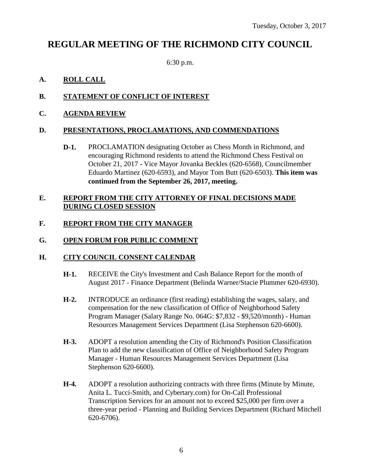# **REGULAR MEETING OF THE RICHMOND CITY COUNCIL**

6:30 p.m.

## **A. ROLL CALL**

# **B. STATEMENT OF CONFLICT OF INTEREST**

**C. AGENDA REVIEW**

## **D. PRESENTATIONS, PROCLAMATIONS, AND COMMENDATIONS**

**D-1.** PROCLAMATION designating October as Chess Month in Richmond, and encouraging Richmond residents to attend the Richmond Chess Festival on October 21, 2017 - Vice Mayor Jovanka Beckles (620-6568), Councilmember Eduardo Martinez (620-6593), and Mayor Tom Butt (620-6503). **This item was continued from the September 26, 2017, meeting.**

### **E. REPORT FROM THE CITY ATTORNEY OF FINAL DECISIONS MADE DURING CLOSED SESSION**

# **F. REPORT FROM THE CITY MANAGER**

### **G. OPEN FORUM FOR PUBLIC COMMENT**

### **H. CITY COUNCIL CONSENT CALENDAR**

- **H-1.** RECEIVE the City's Investment and Cash Balance Report for the month of August 2017 - Finance Department (Belinda Warner/Stacie Plummer 620-6930).
- **H-2.** INTRODUCE an ordinance (first reading) establishing the wages, salary, and compensation for the new classification of Office of Neighborhood Safety Program Manager (Salary Range No. 064G: \$7,832 - \$9,520/month) - Human Resources Management Services Department (Lisa Stephenson 620-6600).
- **H-3.** ADOPT a resolution amending the City of Richmond's Position Classification Plan to add the new classification of Office of Neighborhood Safety Program Manager - Human Resources Management Services Department (Lisa Stephenson 620-6600).
- H-4. ADOPT a resolution authorizing contracts with three firms (Minute by Minute, Anita L. Tucci-Smith, and Cybertary.com) for On-Call Professional Transcription Services for an amount not to exceed \$25,000 per firm over a three-year period - Planning and Building Services Department (Richard Mitchell 620-6706).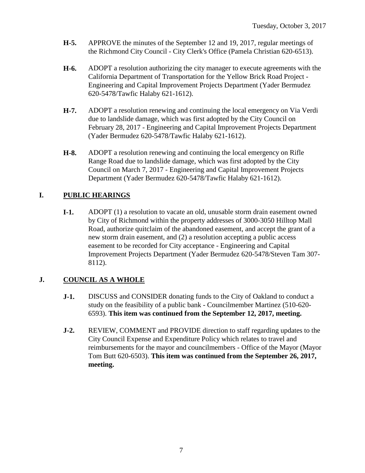- **H-5.** APPROVE the minutes of the September 12 and 19, 2017, regular meetings of the Richmond City Council - City Clerk's Office (Pamela Christian 620-6513).
- **H-6.** ADOPT a resolution authorizing the city manager to execute agreements with the California Department of Transportation for the Yellow Brick Road Project - Engineering and Capital Improvement Projects Department (Yader Bermudez 620-5478/Tawfic Halaby 621-1612).
- **H-7.** ADOPT a resolution renewing and continuing the local emergency on Via Verdi due to landslide damage, which was first adopted by the City Council on February 28, 2017 - Engineering and Capital Improvement Projects Department (Yader Bermudez 620-5478/Tawfic Halaby 621-1612).
- **H-8.** ADOPT a resolution renewing and continuing the local emergency on Rifle Range Road due to landslide damage, which was first adopted by the City Council on March 7, 2017 - Engineering and Capital Improvement Projects Department (Yader Bermudez 620-5478/Tawfic Halaby 621-1612).

# **I. PUBLIC HEARINGS**

**I-1.** ADOPT (1) a resolution to vacate an old, unusable storm drain easement owned by City of Richmond within the property addresses of 3000-3050 Hilltop Mall Road, authorize quitclaim of the abandoned easement, and accept the grant of a new storm drain easement, and (2) a resolution accepting a public access easement to be recorded for City acceptance - Engineering and Capital Improvement Projects Department (Yader Bermudez 620-5478/Steven Tam 307- 8112).

## **J. COUNCIL AS A WHOLE**

- **J-1.** DISCUSS and CONSIDER donating funds to the City of Oakland to conduct a study on the feasibility of a public bank - Councilmember Martinez (510-620- 6593). **This item was continued from the September 12, 2017, meeting.**
- **J-2.** REVIEW, COMMENT and PROVIDE direction to staff regarding updates to the City Council Expense and Expenditure Policy which relates to travel and reimbursements for the mayor and councilmembers - Office of the Mayor (Mayor Tom Butt 620-6503). **This item was continued from the September 26, 2017, meeting.**